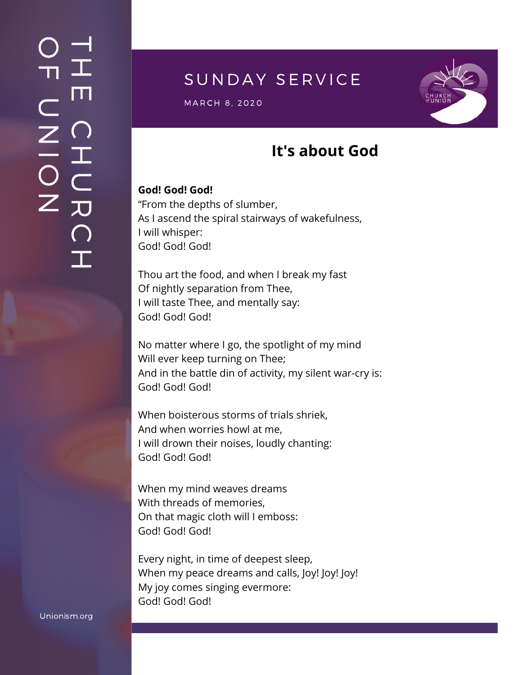#### $\overline{\phantom{a}}$ H m.  $\bigcap$ H  $\subset$ 刀  $\bigcap$  $\mathbf{I}$  .  $\bigcirc$  $\blacksquare$  $\subset$  $\mathsf{Z}^+$ <u>In the Second Contract of the Second Contract of the International Second Contract of the International Second Contract of the International Second Contract of the International Second Contract of the International Second</u>  $\bigcirc$  $\mathsf{Z}^+$

## SUNDAY SERVICE

S U N D A Y S E R V I C E M A R C H 8 , 2020



# **It's about God**

#### **God! God! God!**

"From the depths of slumber, As I ascend the spiral stairways of wakefulness, I will whisper: God! God! God!

Thou art the food, and when I break my fast Of nightly separation from Thee, I will taste Thee, and mentally say: God! God! God!

No matter where I go, the spotlight of my mind Will ever keep turning on Thee; And in the battle din of activity, my silent war-cry is: God! God! God!

When boisterous storms of trials shriek, And when worries howl at me, I will drown their noises, loudly chanting: God! God! God!

When my mind weaves dreams With threads of memories, On that magic cloth will I emboss: God! God! God!

Every night, in time of deepest sleep, When my peace dreams and calls, Joy! Joy! Joy! My joy comes singing evermore: God! God! God!

Unionism.org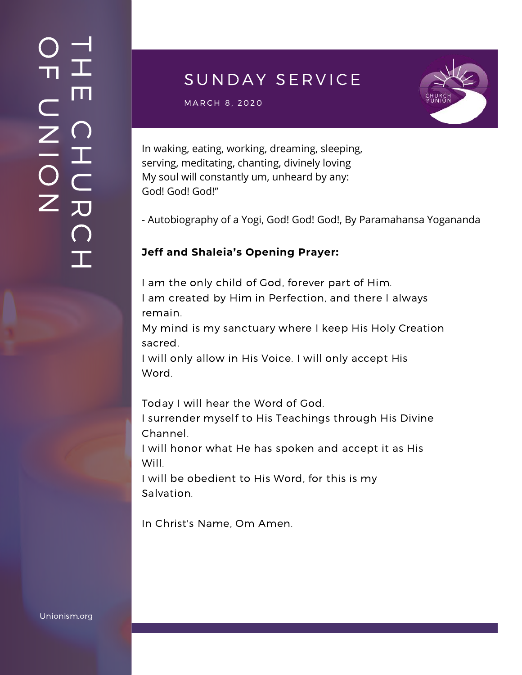### SUNDAY SERVICE

S U N D A Y S E R V I C E M A R C H 8 , 2020



In waking, eating, working, dreaming, sleeping, serving, meditating, chanting, divinely loving My soul will constantly um, unheard by any: God! God! God!"

- Autobiography of a Yogi, God! God! God!, By Paramahansa Yogananda

#### **Jeff and Shaleia's Opening Prayer:**

I am the only child of God, forever part of Him. I am created by Him in Perfection, and there I always remain.

My mind is my sanctuary where I keep His Holy Creation sacred.

I will only allow in His Voice. I will only accept His Word.

Today I will hear the Word of God.

I surrender myself to His Teachings through His Divine Channel.

I will honor what He has spoken and accept it as His Will.

I will be obedient to His Word, for this is my Salvation.

In Christ's Name, Om Amen.